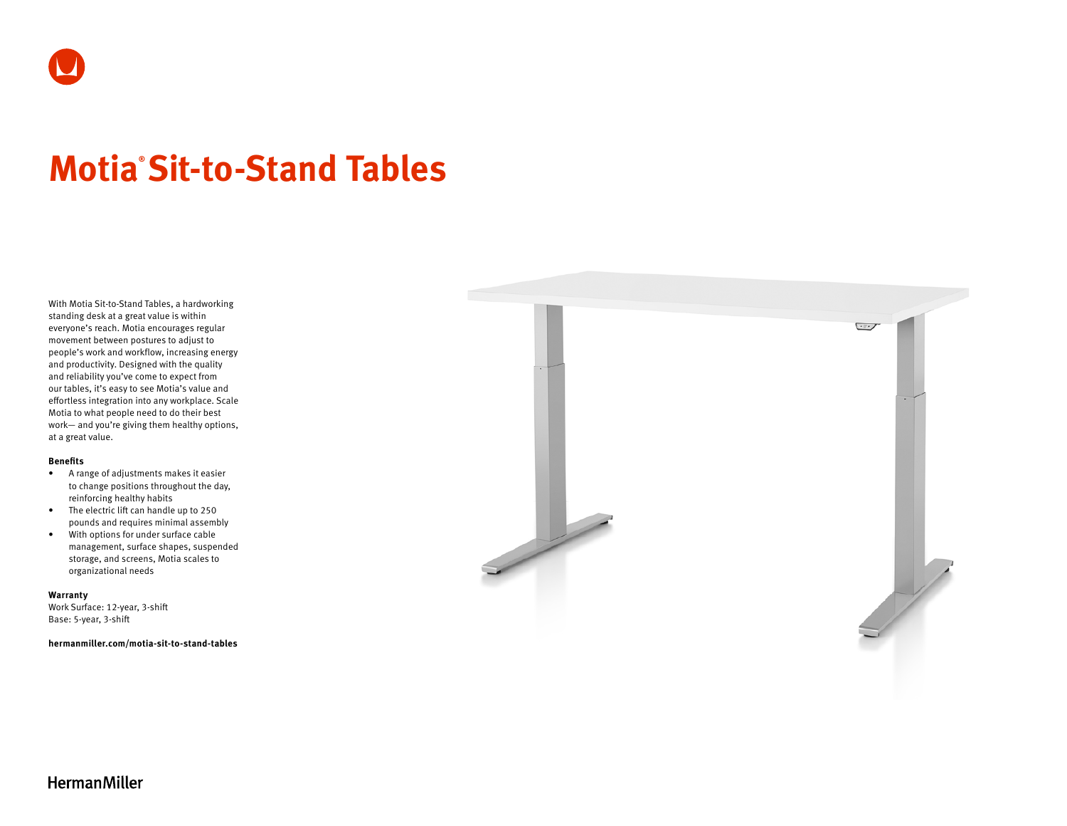# **Motia® Sit-to-Stand Tables**

With Motia Sit-to-Stand Tables, a hardworking standing desk at a great value is within everyone's reach. Motia encourages regular movement between postures to adjust to people's work and workflow, increasing energy and productivity. Designed with the quality and reliability you've come to expect from our tables, it's easy to see Motia's value and effortless integration into any workplace. Scale Motia to what people need to do their best work— and you're giving them healthy options, at a great value.

#### **Benefits**

- A range of adjustments makes it easier to change positions throughout the day, reinforcing healthy habits
- The electric lift can handle up to 250 pounds and requires minimal assembly • With options for under surface cable
- management, surface shapes, suspended storage, and screens, Motia scales to organizational needs

**Warranty**  Work Surface: 12-year, 3-shift Base: 5-year, 3-shift

**[hermanmiller.com/m](https://www.hermanmiller.com/products/tables/sit-to-stand-tables/motia-sit-to-stand-tables/)otia-sit-to-stand-tables**